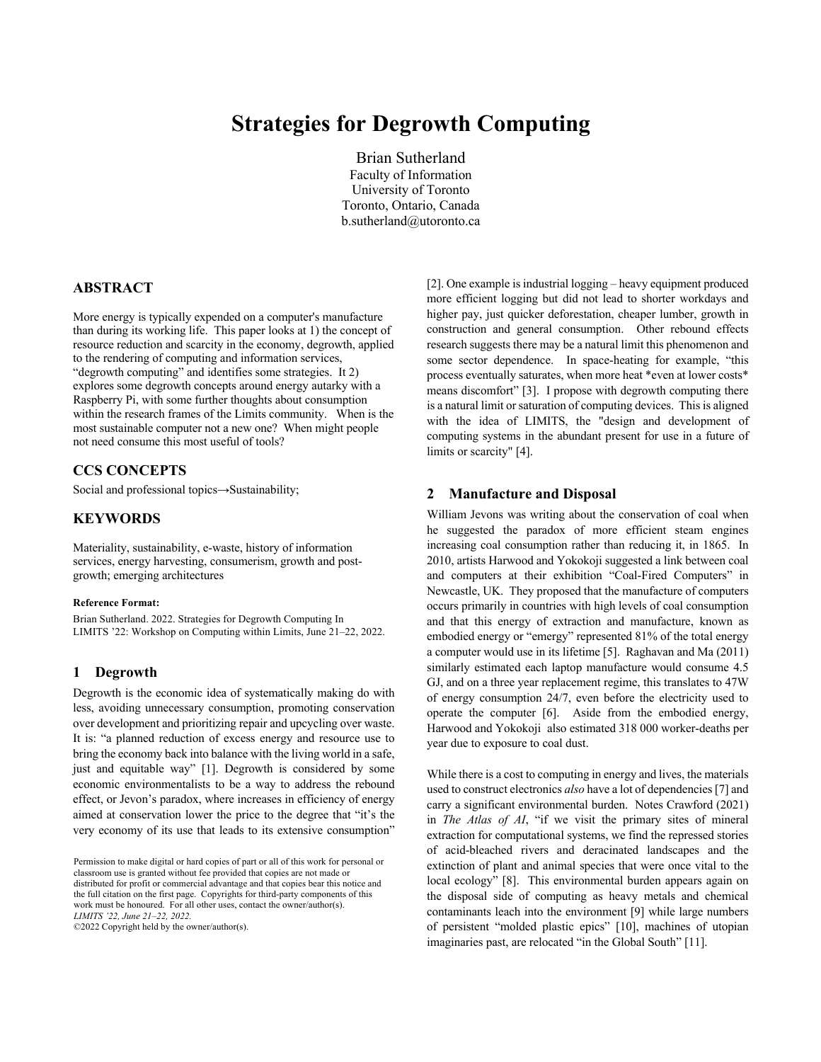# **Strategies for Degrowth Computing**

Brian Sutherland Faculty of Information University of Toronto Toronto, Ontario, Canada b.sutherland@utoronto.ca

# **ABSTRACT**

More energy is typically expended on a computer's manufacture than during its working life. This paper looks at 1) the concept of resource reduction and scarcity in the economy, degrowth, applied to the rendering of computing and information services, "degrowth computing" and identifies some strategies. It 2) explores some degrowth concepts around energy autarky with a Raspberry Pi, with some further thoughts about consumption within the research frames of the Limits community. When is the most sustainable computer not a new one? When might people not need consume this most useful of tools?

# **CCS CONCEPTS**

Social and professional topics→Sustainability;

# **KEYWORDS**

Materiality, sustainability, e-waste, history of information services, energy harvesting, consumerism, growth and postgrowth; emerging architectures

#### **Reference Format:**

Brian Sutherland. 2022. Strategies for Degrowth Computing In LIMITS '22: Workshop on Computing within Limits, June 21–22, 2022.

#### **1 Degrowth**

Degrowth is the economic idea of systematically making do with less, avoiding unnecessary consumption, promoting conservation over development and prioritizing repair and upcycling over waste. It is: "a planned reduction of excess energy and resource use to bring the economy back into balance with the living world in a safe, just and equitable way" [1]. Degrowth is considered by some economic environmentalists to be a way to address the rebound effect, or Jevon's paradox, where increases in efficiency of energy aimed at conservation lower the price to the degree that "it's the very economy of its use that leads to its extensive consumption"

©2022 Copyright held by the owner/author(s).

[2]. One example is industrial logging – heavy equipment produced more efficient logging but did not lead to shorter workdays and higher pay, just quicker deforestation, cheaper lumber, growth in construction and general consumption. Other rebound effects research suggests there may be a natural limit this phenomenon and some sector dependence. In space-heating for example, "this process eventually saturates, when more heat \*even at lower costs\* means discomfort" [3]. I propose with degrowth computing there is a natural limit or saturation of computing devices. This is aligned with the idea of LIMITS, the "design and development of computing systems in the abundant present for use in a future of limits or scarcity" [4].

# **2 Manufacture and Disposal**

William Jevons was writing about the conservation of coal when he suggested the paradox of more efficient steam engines increasing coal consumption rather than reducing it, in 1865. In 2010, artists Harwood and Yokokoji suggested a link between coal and computers at their exhibition "Coal-Fired Computers" in Newcastle, UK. They proposed that the manufacture of computers occurs primarily in countries with high levels of coal consumption and that this energy of extraction and manufacture, known as embodied energy or "emergy" represented 81% of the total energy a computer would use in its lifetime [5]. Raghavan and Ma (2011) similarly estimated each laptop manufacture would consume 4.5 GJ, and on a three year replacement regime, this translates to 47W of energy consumption 24/7, even before the electricity used to operate the computer [6]. Aside from the embodied energy, Harwood and Yokokoji also estimated 318 000 worker-deaths per year due to exposure to coal dust.

While there is a cost to computing in energy and lives, the materials used to construct electronics *also* have a lot of dependencies [7] and carry a significant environmental burden. Notes Crawford (2021) in *The Atlas of AI*, "if we visit the primary sites of mineral extraction for computational systems, we find the repressed stories of acid-bleached rivers and deracinated landscapes and the extinction of plant and animal species that were once vital to the local ecology" [8]. This environmental burden appears again on the disposal side of computing as heavy metals and chemical contaminants leach into the environment [9] while large numbers of persistent "molded plastic epics" [10], machines of utopian imaginaries past, are relocated "in the Global South" [11].

Permission to make digital or hard copies of part or all of this work for personal or classroom use is granted without fee provided that copies are not made or distributed for profit or commercial advantage and that copies bear this notice and the full citation on the first page. Copyrights for third-party components of this work must be honoured. For all other uses, contact the owner/author(s). *LIMITS '22, June 21–22, 2022.*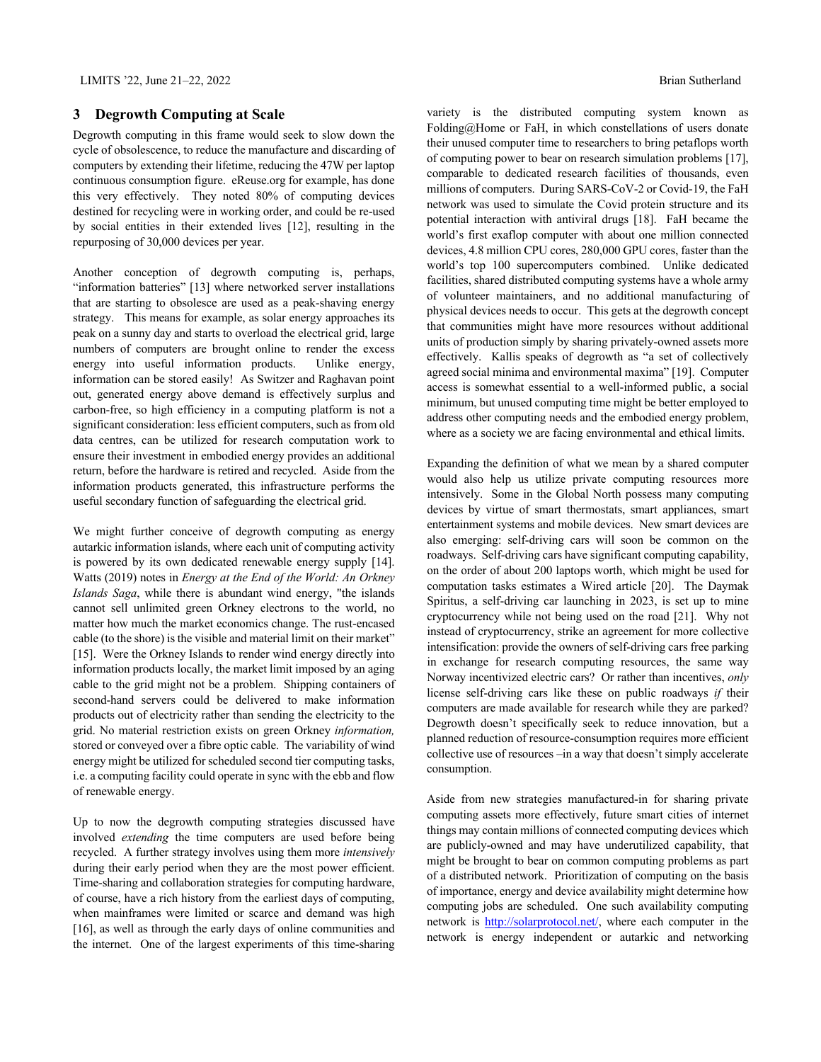#### **3 Degrowth Computing at Scale**

Degrowth computing in this frame would seek to slow down the cycle of obsolescence, to reduce the manufacture and discarding of computers by extending their lifetime, reducing the 47W per laptop continuous consumption figure. eReuse.org for example, has done this very effectively. They noted 80% of computing devices destined for recycling were in working order, and could be re-used by social entities in their extended lives [12], resulting in the repurposing of 30,000 devices per year.

Another conception of degrowth computing is, perhaps, "information batteries" [13] where networked server installations that are starting to obsolesce are used as a peak-shaving energy strategy. This means for example, as solar energy approaches its peak on a sunny day and starts to overload the electrical grid, large numbers of computers are brought online to render the excess energy into useful information products. Unlike energy, information can be stored easily! As Switzer and Raghavan point out, generated energy above demand is effectively surplus and carbon-free, so high efficiency in a computing platform is not a significant consideration: less efficient computers, such as from old data centres, can be utilized for research computation work to ensure their investment in embodied energy provides an additional return, before the hardware is retired and recycled. Aside from the information products generated, this infrastructure performs the useful secondary function of safeguarding the electrical grid.

We might further conceive of degrowth computing as energy autarkic information islands, where each unit of computing activity is powered by its own dedicated renewable energy supply [14]. Watts (2019) notes in *Energy at the End of the World: An Orkney Islands Saga*, while there is abundant wind energy, "the islands cannot sell unlimited green Orkney electrons to the world, no matter how much the market economics change. The rust-encased cable (to the shore) is the visible and material limit on their market" [15]. Were the Orkney Islands to render wind energy directly into information products locally, the market limit imposed by an aging cable to the grid might not be a problem. Shipping containers of second-hand servers could be delivered to make information products out of electricity rather than sending the electricity to the grid. No material restriction exists on green Orkney *information,* stored or conveyed over a fibre optic cable. The variability of wind energy might be utilized for scheduled second tier computing tasks, i.e. a computing facility could operate in sync with the ebb and flow of renewable energy.

Up to now the degrowth computing strategies discussed have involved *extending* the time computers are used before being recycled. A further strategy involves using them more *intensively* during their early period when they are the most power efficient. Time-sharing and collaboration strategies for computing hardware, of course, have a rich history from the earliest days of computing, when mainframes were limited or scarce and demand was high [16], as well as through the early days of online communities and the internet. One of the largest experiments of this time-sharing

variety is the distributed computing system known as Folding@Home or FaH, in which constellations of users donate their unused computer time to researchers to bring petaflops worth of computing power to bear on research simulation problems [17], comparable to dedicated research facilities of thousands, even millions of computers. During SARS-CoV-2 or Covid-19, the FaH network was used to simulate the Covid protein structure and its potential interaction with antiviral drugs [18]. FaH became the world's first exaflop computer with about one million connected devices, 4.8 million CPU cores, 280,000 GPU cores, faster than the world's top 100 supercomputers combined. Unlike dedicated facilities, shared distributed computing systems have a whole army of volunteer maintainers, and no additional manufacturing of physical devices needs to occur. This gets at the degrowth concept that communities might have more resources without additional units of production simply by sharing privately-owned assets more effectively. Kallis speaks of degrowth as "a set of collectively agreed social minima and environmental maxima" [19]. Computer access is somewhat essential to a well-informed public, a social minimum, but unused computing time might be better employed to address other computing needs and the embodied energy problem, where as a society we are facing environmental and ethical limits.

Expanding the definition of what we mean by a shared computer would also help us utilize private computing resources more intensively. Some in the Global North possess many computing devices by virtue of smart thermostats, smart appliances, smart entertainment systems and mobile devices. New smart devices are also emerging: self-driving cars will soon be common on the roadways. Self-driving cars have significant computing capability, on the order of about 200 laptops worth, which might be used for computation tasks estimates a Wired article [20]. The Daymak Spiritus, a self-driving car launching in 2023, is set up to mine cryptocurrency while not being used on the road [21]. Why not instead of cryptocurrency, strike an agreement for more collective intensification: provide the owners of self-driving cars free parking in exchange for research computing resources, the same way Norway incentivized electric cars? Or rather than incentives, *only* license self-driving cars like these on public roadways *if* their computers are made available for research while they are parked? Degrowth doesn't specifically seek to reduce innovation, but a planned reduction of resource-consumption requires more efficient collective use of resources –in a way that doesn't simply accelerate consumption.

Aside from new strategies manufactured-in for sharing private computing assets more effectively, future smart cities of internet things may contain millions of connected computing devices which are publicly-owned and may have underutilized capability, that might be brought to bear on common computing problems as part of a distributed network. Prioritization of computing on the basis of importance, energy and device availability might determine how computing jobs are scheduled. One such availability computing network is **http://solarprotocol.net/**, where each computer in the network is energy independent or autarkic and networking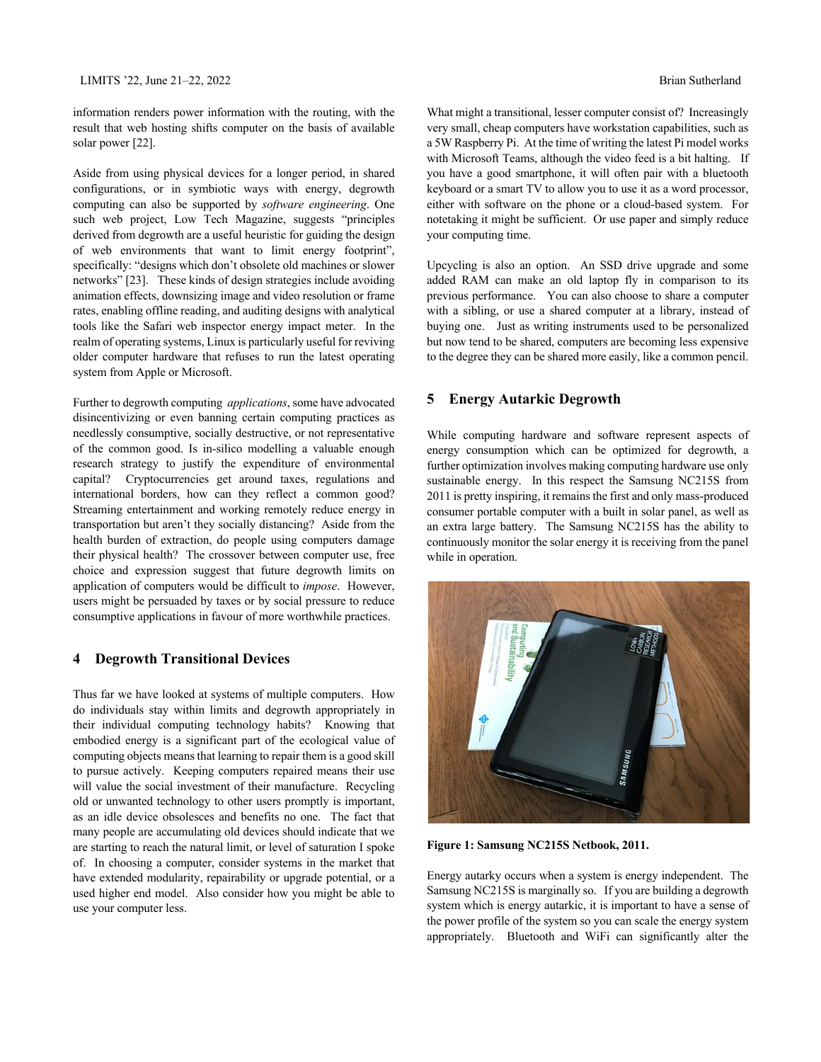information renders power information with the routing, with the result that web hosting shifts computer on the basis of available solar power [22].

Aside from using physical devices for a longer period, in shared configurations, or in symbiotic ways with energy, degrowth computing can also be supported by *software engineering*. One such web project, Low Tech Magazine, suggests "principles derived from degrowth are a useful heuristic for guiding the design of web environments that want to limit energy footprint", specifically: "designs which don't obsolete old machines or slower networks" [23]. These kinds of design strategies include avoiding animation effects, downsizing image and video resolution or frame rates, enabling offline reading, and auditing designs with analytical tools like the Safari web inspector energy impact meter. In the realm of operating systems, Linux is particularly useful for reviving older computer hardware that refuses to run the latest operating system from Apple or Microsoft.

Further to degrowth computing *applications*, some have advocated disincentivizing or even banning certain computing practices as needlessly consumptive, socially destructive, or not representative of the common good. Is in-silico modelling a valuable enough research strategy to justify the expenditure of environmental capital? Cryptocurrencies get around taxes, regulations and international borders, how can they reflect a common good? Streaming entertainment and working remotely reduce energy in transportation but aren't they socially distancing? Aside from the health burden of extraction, do people using computers damage their physical health? The crossover between computer use, free choice and expression suggest that future degrowth limits on application of computers would be difficult to *impose*. However, users might be persuaded by taxes or by social pressure to reduce consumptive applications in favour of more worthwhile practices.

# **4 Degrowth Transitional Devices**

Thus far we have looked at systems of multiple computers. How do individuals stay within limits and degrowth appropriately in their individual computing technology habits? Knowing that embodied energy is a significant part of the ecological value of computing objects means that learning to repair them is a good skill to pursue actively. Keeping computers repaired means their use will value the social investment of their manufacture. Recycling old or unwanted technology to other users promptly is important, as an idle device obsolesces and benefits no one. The fact that many people are accumulating old devices should indicate that we are starting to reach the natural limit, or level of saturation I spoke of. In choosing a computer, consider systems in the market that have extended modularity, repairability or upgrade potential, or a used higher end model. Also consider how you might be able to use your computer less.

What might a transitional, lesser computer consist of? Increasingly very small, cheap computers have workstation capabilities, such as a 5W Raspberry Pi. At the time of writing the latest Pi model works with Microsoft Teams, although the video feed is a bit halting. If you have a good smartphone, it will often pair with a bluetooth keyboard or a smart TV to allow you to use it as a word processor, either with software on the phone or a cloud-based system. For notetaking it might be sufficient. Or use paper and simply reduce your computing time.

Upcycling is also an option. An SSD drive upgrade and some added RAM can make an old laptop fly in comparison to its previous performance. You can also choose to share a computer with a sibling, or use a shared computer at a library, instead of buying one. Just as writing instruments used to be personalized but now tend to be shared, computers are becoming less expensive to the degree they can be shared more easily, like a common pencil.

# **5 Energy Autarkic Degrowth**

While computing hardware and software represent aspects of energy consumption which can be optimized for degrowth, a further optimization involves making computing hardware use only sustainable energy. In this respect the Samsung NC215S from 2011 is pretty inspiring, it remains the first and only mass-produced consumer portable computer with a built in solar panel, as well as an extra large battery. The Samsung NC215S has the ability to continuously monitor the solar energy it is receiving from the panel while in operation.



**Figure 1: Samsung NC215S Netbook, 2011.**

Energy autarky occurs when a system is energy independent. The Samsung NC215S is marginally so. If you are building a degrowth system which is energy autarkic, it is important to have a sense of the power profile of the system so you can scale the energy system appropriately. Bluetooth and WiFi can significantly alter the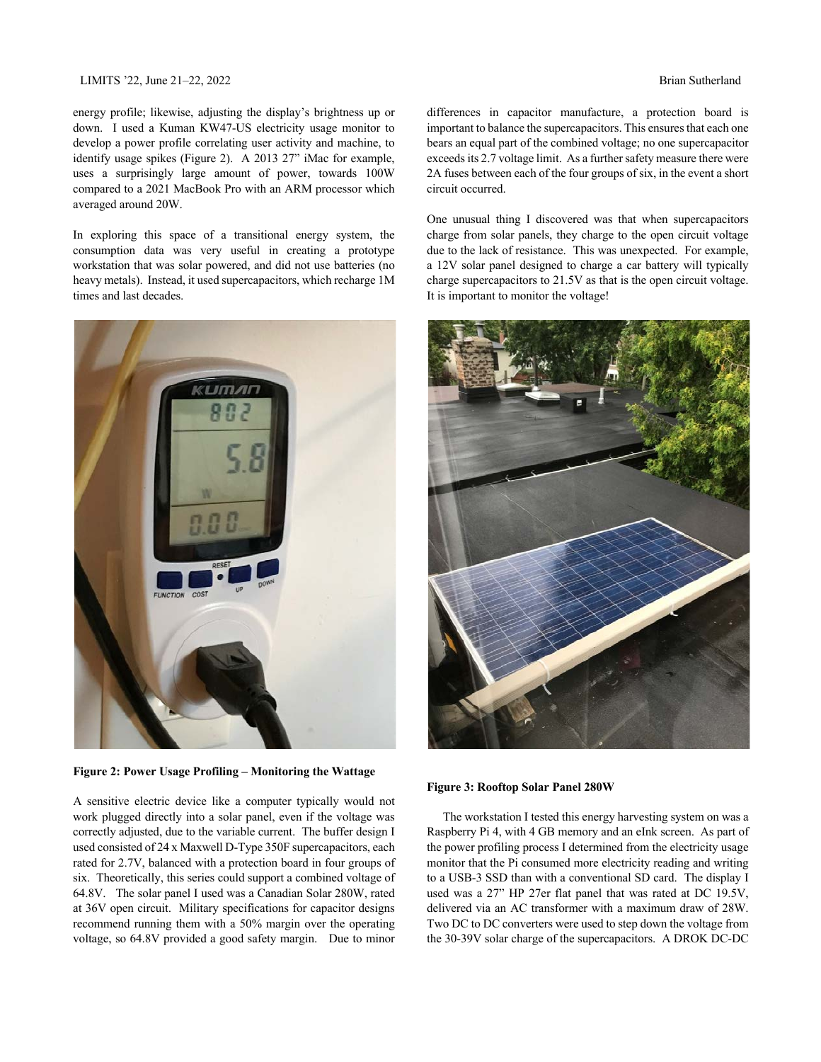#### LIMITS '22, June 21–22, 2022 Brian Sutherland

energy profile; likewise, adjusting the display's brightness up or down. I used a Kuman KW47-US electricity usage monitor to develop a power profile correlating user activity and machine, to identify usage spikes (Figure 2). A 2013 27" iMac for example, uses a surprisingly large amount of power, towards 100W compared to a 2021 MacBook Pro with an ARM processor which averaged around 20W.

In exploring this space of a transitional energy system, the consumption data was very useful in creating a prototype workstation that was solar powered, and did not use batteries (no heavy metals). Instead, it used supercapacitors, which recharge 1M times and last decades.



**Figure 2: Power Usage Profiling – Monitoring the Wattage**

A sensitive electric device like a computer typically would not work plugged directly into a solar panel, even if the voltage was correctly adjusted, due to the variable current. The buffer design I used consisted of 24 x Maxwell D-Type 350F supercapacitors, each rated for 2.7V, balanced with a protection board in four groups of six. Theoretically, this series could support a combined voltage of 64.8V. The solar panel I used was a Canadian Solar 280W, rated at 36V open circuit. Military specifications for capacitor designs recommend running them with a 50% margin over the operating voltage, so 64.8V provided a good safety margin. Due to minor differences in capacitor manufacture, a protection board is important to balance the supercapacitors. This ensures that each one bears an equal part of the combined voltage; no one supercapacitor exceeds its 2.7 voltage limit. As a further safety measure there were 2A fuses between each of the four groups of six, in the event a short circuit occurred.

One unusual thing I discovered was that when supercapacitors charge from solar panels, they charge to the open circuit voltage due to the lack of resistance. This was unexpected. For example, a 12V solar panel designed to charge a car battery will typically charge supercapacitors to 21.5V as that is the open circuit voltage. It is important to monitor the voltage!



**Figure 3: Rooftop Solar Panel 280W**

The workstation I tested this energy harvesting system on was a Raspberry Pi 4, with 4 GB memory and an eInk screen. As part of the power profiling process I determined from the electricity usage monitor that the Pi consumed more electricity reading and writing to a USB-3 SSD than with a conventional SD card. The display I used was a 27" HP 27er flat panel that was rated at DC 19.5V, delivered via an AC transformer with a maximum draw of 28W. Two DC to DC converters were used to step down the voltage from the 30-39V solar charge of the supercapacitors. A DROK DC-DC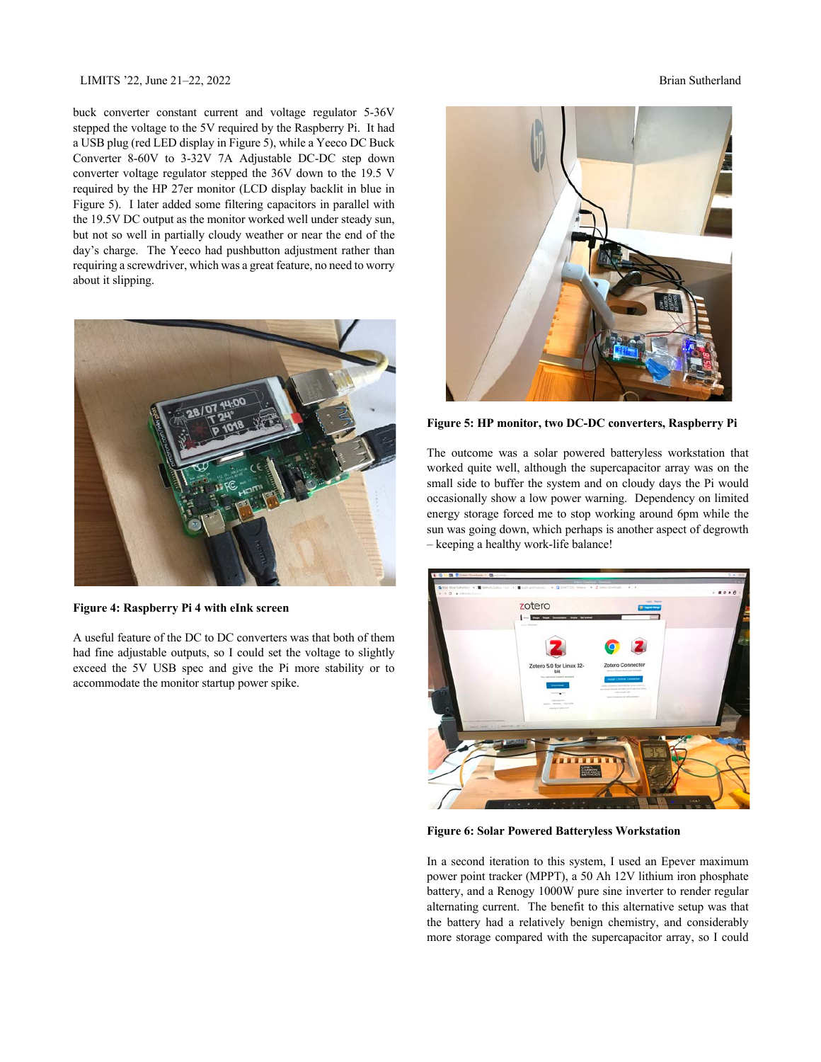#### LIMITS '22, June 21–22, 2022 Brian Sutherland

buck converter constant current and voltage regulator 5-36V stepped the voltage to the 5V required by the Raspberry Pi. It had a USB plug (red LED display in Figure 5), while a Yeeco DC Buck Converter 8-60V to 3-32V 7A Adjustable DC-DC step down converter voltage regulator stepped the 36V down to the 19.5 V required by the HP 27er monitor (LCD display backlit in blue in Figure 5). I later added some filtering capacitors in parallel with the 19.5V DC output as the monitor worked well under steady sun, but not so well in partially cloudy weather or near the end of the day's charge. The Yeeco had pushbutton adjustment rather than requiring a screwdriver, which was a great feature, no need to worry about it slipping.



**Figure 4: Raspberry Pi 4 with eInk screen**

A useful feature of the DC to DC converters was that both of them had fine adjustable outputs, so I could set the voltage to slightly exceed the 5V USB spec and give the Pi more stability or to accommodate the monitor startup power spike.



**Figure 5: HP monitor, two DC-DC converters, Raspberry Pi**

The outcome was a solar powered batteryless workstation that worked quite well, although the supercapacitor array was on the small side to buffer the system and on cloudy days the Pi would occasionally show a low power warning. Dependency on limited energy storage forced me to stop working around 6pm while the sun was going down, which perhaps is another aspect of degrowth – keeping a healthy work-life balance!



**Figure 6: Solar Powered Batteryless Workstation**

In a second iteration to this system, I used an Epever maximum power point tracker (MPPT), a 50 Ah 12V lithium iron phosphate battery, and a Renogy 1000W pure sine inverter to render regular alternating current. The benefit to this alternative setup was that the battery had a relatively benign chemistry, and considerably more storage compared with the supercapacitor array, so I could